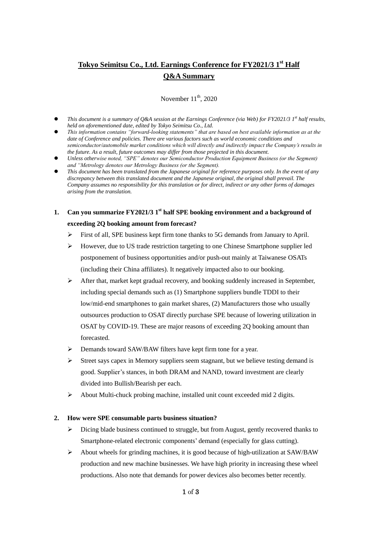# **Tokyo Seimitsu Co., Ltd. Earnings Conference for FY2021/3 1 st Half Q&A Summary**

November  $11^{th}$ , 2020

- **•** This document is a summary of Q&A session at the Earnings Conference (via Web) for *FY2021/3* 1<sup>st</sup> half results, *held on aforementioned date, edited by Tokyo Seimitsu Co., Ltd.*
- *This information contains "forward-looking statements" that are based on best available information as at the date of Conference and policies. There are various factors such as world economic conditions and semiconductor/automobile market conditions which will directly and indirectly impact the Company's results in the future. As a result, future outcomes may differ from those projected in this document.*
- *Unless otherwise noted, "SPE" denotes our Semiconductor Production Equipment Business (or the Segment) and "Metrology denotes our Metrology Business (or the Segment).*
- *This document has been translated from the Japanese original for reference purposes only. In the event of any discrepancy between this translated document and the Japanese original, the original shall prevail. The Company assumes no responsibility for this translation or for direct, indirect or any other forms of damages arising from the translation.*

# **1. Can you summarize FY2021/3 1st half SPE booking environment and a background of exceeding 2Q booking amount from forecast?**

- $\triangleright$  First of all, SPE business kept firm tone thanks to 5G demands from January to April.
- However, due to US trade restriction targeting to one Chinese Smartphone supplier led postponement of business opportunities and/or push-out mainly at Taiwanese OSATs (including their China affiliates). It negatively impacted also to our booking.
- $\triangleright$  After that, market kept gradual recovery, and booking suddenly increased in September, including special demands such as (1) Smartphone suppliers bundle TDDI to their low/mid-end smartphones to gain market shares, (2) Manufacturers those who usually outsources production to OSAT directly purchase SPE because of lowering utilization in OSAT by COVID-19. These are major reasons of exceeding 2Q booking amount than forecasted.
- Demands toward SAW/BAW filters have kept firm tone for a year.
- $\triangleright$  Street says capex in Memory suppliers seem stagnant, but we believe testing demand is good. Supplier's stances, in both DRAM and NAND, toward investment are clearly divided into Bullish/Bearish per each.
- About Multi-chuck probing machine, installed unit count exceeded mid 2 digits.

### **2. How were SPE consumable parts business situation?**

- Dicing blade business continued to struggle, but from August, gently recovered thanks to Smartphone-related electronic components' demand (especially for glass cutting).
- $\triangleright$  About wheels for grinding machines, it is good because of high-utilization at SAW/BAW production and new machine businesses. We have high priority in increasing these wheel productions. Also note that demands for power devices also becomes better recently.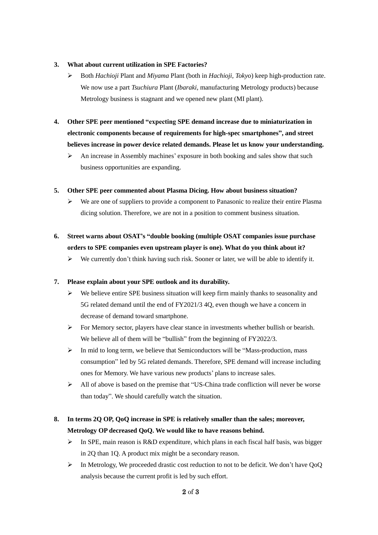### **3. What about current utilization in SPE Factories?**

- Both *Hachioji* Plant and *Miyama* Plant (both in *Hachioji, Tokyo*) keep high-production rate. We now use a part *Tsuchiura* Plant (*Ibaraki*, manufacturing Metrology products) because Metrology business is stagnant and we opened new plant (MI plant).
- **4. Other SPE peer mentioned "expecting SPE demand increase due to miniaturization in electronic components because of requirements for high-spec smartphones", and street believes increase in power device related demands. Please let us know your understanding.** 
	- An increase in Assembly machines' exposure in both booking and sales show that such business opportunities are expanding.

### **5. Other SPE peer commented about Plasma Dicing. How about business situation?**

- $\triangleright$  We are one of suppliers to provide a component to Panasonic to realize their entire Plasma dicing solution. Therefore, we are not in a position to comment business situation.
- **6. Street warns about OSAT's "double booking (multiple OSAT companies issue purchase orders to SPE companies even upstream player is one). What do you think about it?**
	- $\triangleright$  We currently don't think having such risk. Sooner or later, we will be able to identify it.

### **7. Please explain about your SPE outlook and its durability.**

- $\triangleright$  We believe entire SPE business situation will keep firm mainly thanks to seasonality and 5G related demand until the end of FY2021/3 4Q, even though we have a concern in decrease of demand toward smartphone.
- $\triangleright$  For Memory sector, players have clear stance in investments whether bullish or bearish. We believe all of them will be "bullish" from the beginning of FY2022/3.
- $\triangleright$  In mid to long term, we believe that Semiconductors will be "Mass-production, mass consumption" led by 5G related demands. Therefore, SPE demand will increase including ones for Memory. We have various new products' plans to increase sales.
- $\triangleright$  All of above is based on the premise that "US-China trade confliction will never be worse than today". We should carefully watch the situation.

## **8. In terms 2Q OP, QoQ increase in SPE is relatively smaller than the sales; moreover, Metrology OP decreased QoQ. We would like to have reasons behind.**

- In SPE, main reason is R&D expenditure, which plans in each fiscal half basis, was bigger in 2Q than 1Q. A product mix might be a secondary reason.
- $\triangleright$  In Metrology, We proceeded drastic cost reduction to not to be deficit. We don't have QoQ analysis because the current profit is led by such effort.